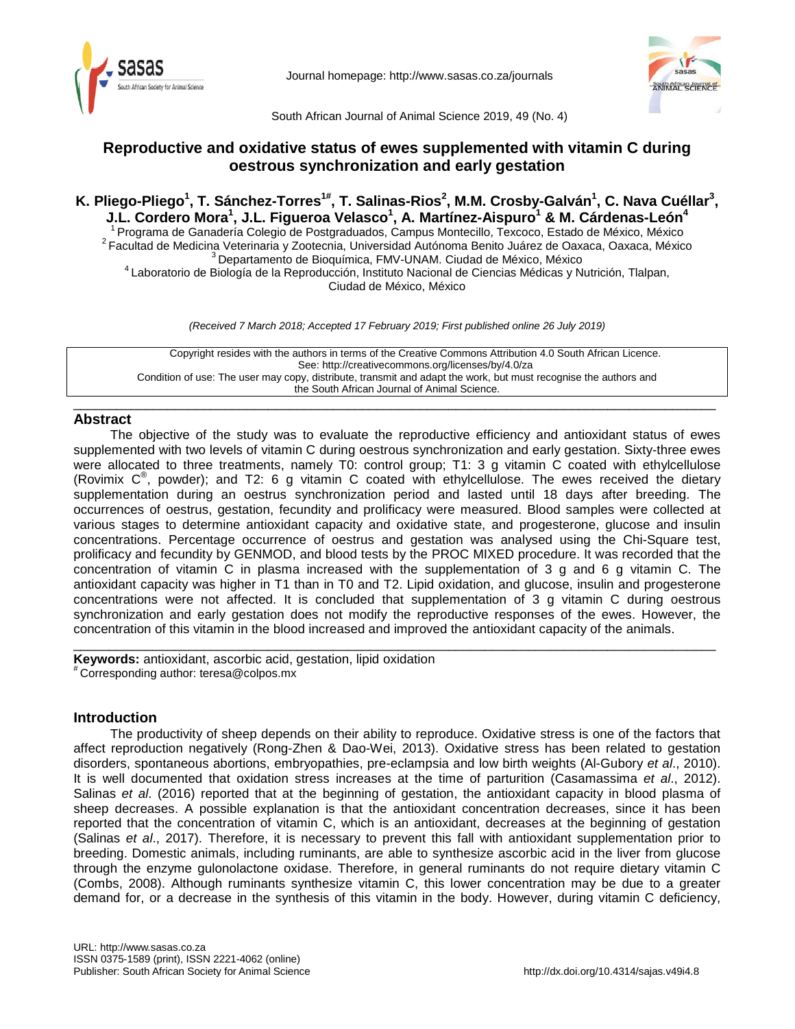

Journal homepage:<http://www.sasas.co.za/journals>



South African Journal of Animal Science 2019, 49 (No. 4)

# **Reproductive and oxidative status of ewes supplemented with vitamin C during oestrous synchronization and early gestation**

K. Pliego-Pliego<sup>1</sup>, T. Sánchez-Torres<sup>1#</sup>, T. Salinas-Rios<sup>2</sup>, M.M. Crosby-Galván<sup>1</sup>, C. Nava Cuéllar<sup>3</sup>, **J.L. Cordero Mora1 , J.L. Figueroa Velasco1 , A. Martínez-Aispuro1 & M. Cárdenas-León4**

<sup>1</sup> Programa de Ganadería Colegio de Postgraduados, Campus Montecillo, Texcoco, Estado de México, México <sup>2</sup> Facultad de Medicina Veterinaria y Zootecnia, Universidad Autónoma Benito Juárez de Oaxaca, Oaxaca, México <sup>3</sup> D

Ciudad de México, México

*(Received 7 March 2018; Accepted 17 February 2019; First published online 26 July 2019)*

Copyright resides with the authors in terms of the Creative Commons Attribution 4.0 South African Licence. See: http://creativecommons.org/licenses/by/4.0/za Condition of use: The user may copy, distribute, transmit and adapt the work, but must recognise the authors and the South African Journal of Animal Science.

### \_\_\_\_\_\_\_\_\_\_\_\_\_\_\_\_\_\_\_\_\_\_\_\_\_\_\_\_\_\_\_\_\_\_\_\_\_\_\_\_\_\_\_\_\_\_\_\_\_\_\_\_\_\_\_\_\_\_\_\_\_\_\_\_\_\_\_\_\_\_\_\_\_\_\_\_\_\_\_\_\_\_\_\_\_\_\_\_\_ **Abstract**

The objective of the study was to evaluate the reproductive efficiency and antioxidant status of ewes supplemented with two levels of vitamin C during oestrous synchronization and early gestation. Sixty-three ewes were allocated to three treatments, namely T0: control group; T1: 3 g vitamin C coated with ethylcellulose (Rovimix  $C^{\mathbb{P}}$ , powder); and T2: 6 g vitamin C coated with ethylcellulose. The ewes received the dietary supplementation during an oestrus synchronization period and lasted until 18 days after breeding. The occurrences of oestrus, gestation, fecundity and prolificacy were measured. Blood samples were collected at various stages to determine antioxidant capacity and oxidative state, and progesterone, glucose and insulin concentrations. Percentage occurrence of oestrus and gestation was analysed using the Chi-Square test, prolificacy and fecundity by GENMOD, and blood tests by the PROC MIXED procedure. It was recorded that the concentration of vitamin C in plasma increased with the supplementation of 3 g and 6 g vitamin C. The antioxidant capacity was higher in T1 than in T0 and T2. Lipid oxidation, and glucose, insulin and progesterone concentrations were not affected. It is concluded that supplementation of 3 g vitamin C during oestrous synchronization and early gestation does not modify the reproductive responses of the ewes. However, the concentration of this vitamin in the blood increased and improved the antioxidant capacity of the animals.

\_\_\_\_\_\_\_\_\_\_\_\_\_\_\_\_\_\_\_\_\_\_\_\_\_\_\_\_\_\_\_\_\_\_\_\_\_\_\_\_\_\_\_\_\_\_\_\_\_\_\_\_\_\_\_\_\_\_\_\_\_\_\_\_\_\_\_\_\_\_\_\_\_\_\_\_\_\_\_\_\_\_\_\_\_\_\_\_\_ **Keywords:** antioxidant, ascorbic acid, gestation, lipid oxidation # Corresponding author: teresa@colpos.mx

## **Introduction**

The productivity of sheep depends on their ability to reproduce. Oxidative stress is one of the factors that affect reproduction negatively (Rong-Zhen & Dao-Wei, 2013). Oxidative stress has been related to gestation disorders, spontaneous abortions, embryopathies, pre-eclampsia and low birth weights (Al-Gubory *et al*., 2010). It is well documented that oxidation stress increases at the time of parturition (Casamassima *et al*., 2012). Salinas *et al*. (2016) reported that at the beginning of gestation, the antioxidant capacity in blood plasma of sheep decreases. A possible explanation is that the antioxidant concentration decreases, since it has been reported that the concentration of vitamin C, which is an antioxidant, decreases at the beginning of gestation (Salinas *et al*., 2017). Therefore, it is necessary to prevent this fall with antioxidant supplementation prior to breeding. Domestic animals, including ruminants, are able to synthesize ascorbic acid in the liver from glucose through the enzyme gulonolactone oxidase. Therefore, in general ruminants do not require dietary vitamin C (Combs, 2008). Although ruminants synthesize vitamin C, this lower concentration may be due to a greater demand for, or a decrease in the synthesis of this vitamin in the body. However, during vitamin C deficiency,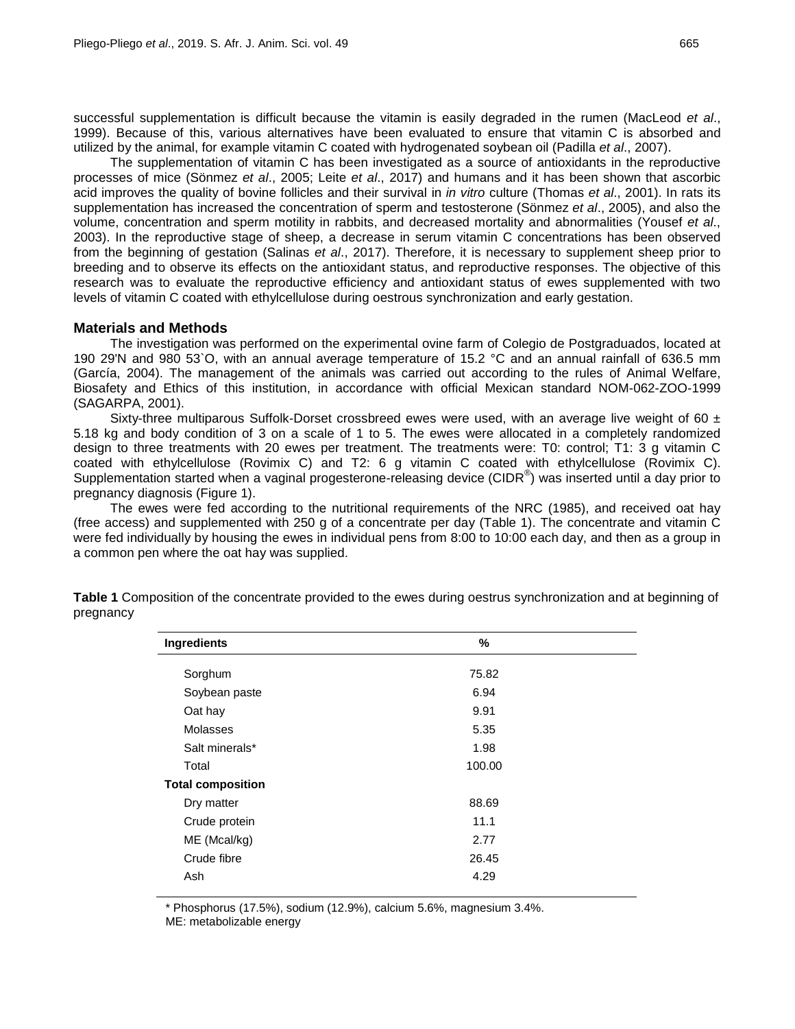successful supplementation is difficult because the vitamin is easily degraded in the rumen (MacLeod *et al*., 1999). Because of this, various alternatives have been evaluated to ensure that vitamin C is absorbed and utilized by the animal, for example vitamin C coated with hydrogenated soybean oil (Padilla *et al*., 2007).

The supplementation of vitamin C has been investigated as a source of antioxidants in the reproductive processes of mice (Sönmez *et al*., 2005; Leite *et al*., 2017) and humans and it has been shown that ascorbic acid improves the quality of bovine follicles and their survival in *in vitro* culture (Thomas *et al*., 2001). In rats its supplementation has increased the concentration of sperm and testosterone (Sönmez *et al*., 2005), and also the volume, concentration and sperm motility in rabbits, and decreased mortality and abnormalities (Yousef *et al*., 2003). In the reproductive stage of sheep, a decrease in serum vitamin C concentrations has been observed from the beginning of gestation (Salinas *et al*., 2017). Therefore, it is necessary to supplement sheep prior to breeding and to observe its effects on the antioxidant status, and reproductive responses. The objective of this research was to evaluate the reproductive efficiency and antioxidant status of ewes supplemented with two levels of vitamin C coated with ethylcellulose during oestrous synchronization and early gestation.

### **Materials and Methods**

The investigation was performed on the experimental ovine farm of Colegio de Postgraduados, located at 190 29'N and 980 53`O, with an annual average temperature of 15.2 °C and an annual rainfall of 636.5 mm (García, 2004). The management of the animals was carried out according to the rules of Animal Welfare, Biosafety and Ethics of this institution, in accordance with official Mexican standard NOM-062-ZOO-1999 (SAGARPA, 2001).

Sixty-three multiparous Suffolk-Dorset crossbreed ewes were used, with an average live weight of 60  $\pm$ 5.18 kg and body condition of 3 on a scale of 1 to 5. The ewes were allocated in a completely randomized design to three treatments with 20 ewes per treatment. The treatments were: T0: control; T1: 3 g vitamin C coated with ethylcellulose (Rovimix C) and T2: 6 g vitamin C coated with ethylcellulose (Rovimix C). Supplementation started when a vaginal progesterone-releasing device (CIDR®) was inserted until a day prior to pregnancy diagnosis (Figure 1).

The ewes were fed according to the nutritional requirements of the NRC (1985), and received oat hay (free access) and supplemented with 250 g of a concentrate per day (Table 1). The concentrate and vitamin C were fed individually by housing the ewes in individual pens from 8:00 to 10:00 each day, and then as a group in a common pen where the oat hay was supplied.

| Ingredients              | %      |  |
|--------------------------|--------|--|
|                          | 75.82  |  |
| Sorghum                  |        |  |
| Soybean paste            | 6.94   |  |
| Oat hay                  | 9.91   |  |
| Molasses                 | 5.35   |  |
| Salt minerals*           | 1.98   |  |
| Total                    | 100.00 |  |
| <b>Total composition</b> |        |  |
| Dry matter               | 88.69  |  |
| Crude protein            | 11.1   |  |
| ME (Mcal/kg)             | 2.77   |  |
| Crude fibre              | 26.45  |  |
| Ash                      | 4.29   |  |
|                          |        |  |

**Table 1** Composition of the concentrate provided to the ewes during oestrus synchronization and at beginning of pregnancy

\* Phosphorus (17.5%), sodium (12.9%), calcium 5.6%, magnesium 3.4%.

ME: metabolizable energy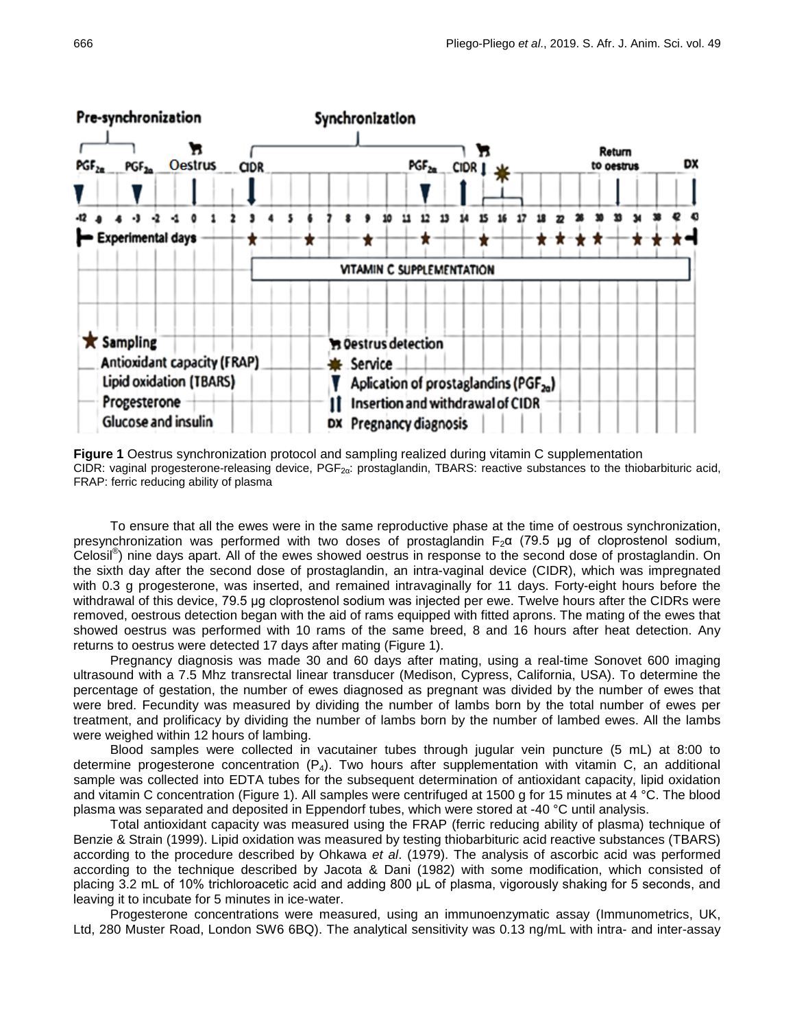

**Figure 1** Oestrus synchronization protocol and sampling realized during vitamin C supplementation CIDR: vaginal progesterone-releasing device, PGF2α: prostaglandin, TBARS: reactive substances to the thiobarbituric acid, FRAP: ferric reducing ability of plasma

To ensure that all the ewes were in the same reproductive phase at the time of oestrous synchronization, presynchronization was performed with two doses of prostaglandin  $F_2\alpha$  (79.5 µg of cloprostenol sodium, Celosil® ) nine days apart. All of the ewes showed oestrus in response to the second dose of prostaglandin. On the sixth day after the second dose of prostaglandin, an intra-vaginal device (CIDR), which was impregnated with 0.3 g progesterone, was inserted, and remained intravaginally for 11 days. Forty-eight hours before the withdrawal of this device, 79.5 μg cloprostenol sodium was injected per ewe. Twelve hours after the CIDRs were removed, oestrous detection began with the aid of rams equipped with fitted aprons. The mating of the ewes that showed oestrus was performed with 10 rams of the same breed, 8 and 16 hours after heat detection. Any returns to oestrus were detected 17 days after mating (Figure 1).

Pregnancy diagnosis was made 30 and 60 days after mating, using a real-time Sonovet 600 imaging ultrasound with a 7.5 Mhz transrectal linear transducer (Medison, Cypress, California, USA). To determine the percentage of gestation, the number of ewes diagnosed as pregnant was divided by the number of ewes that were bred. Fecundity was measured by dividing the number of lambs born by the total number of ewes per treatment, and prolificacy by dividing the number of lambs born by the number of lambed ewes. All the lambs were weighed within 12 hours of lambing.

Blood samples were collected in vacutainer tubes through jugular vein puncture (5 mL) at 8:00 to determine progesterone concentration  $(P_4)$ . Two hours after supplementation with vitamin C, an additional sample was collected into EDTA tubes for the subsequent determination of antioxidant capacity, lipid oxidation and vitamin C concentration (Figure 1). All samples were centrifuged at 1500 g for 15 minutes at 4 °C. The blood plasma was separated and deposited in Eppendorf tubes, which were stored at -40 °C until analysis.

Total antioxidant capacity was measured using the FRAP (ferric reducing ability of plasma) technique of Benzie & Strain (1999). Lipid oxidation was measured by testing thiobarbituric acid reactive substances (TBARS) according to the procedure described by Ohkawa *et al*. (1979). The analysis of ascorbic acid was performed according to the technique described by Jacota & Dani (1982) with some modification, which consisted of placing 3.2 mL of 10% trichloroacetic acid and adding 800 μL of plasma, vigorously shaking for 5 seconds, and leaving it to incubate for 5 minutes in ice-water.

Progesterone concentrations were measured, using an immunoenzymatic assay (Immunometrics, UK, Ltd, 280 Muster Road, London SW6 6BQ). The analytical sensitivity was 0.13 ng/mL with intra- and inter-assay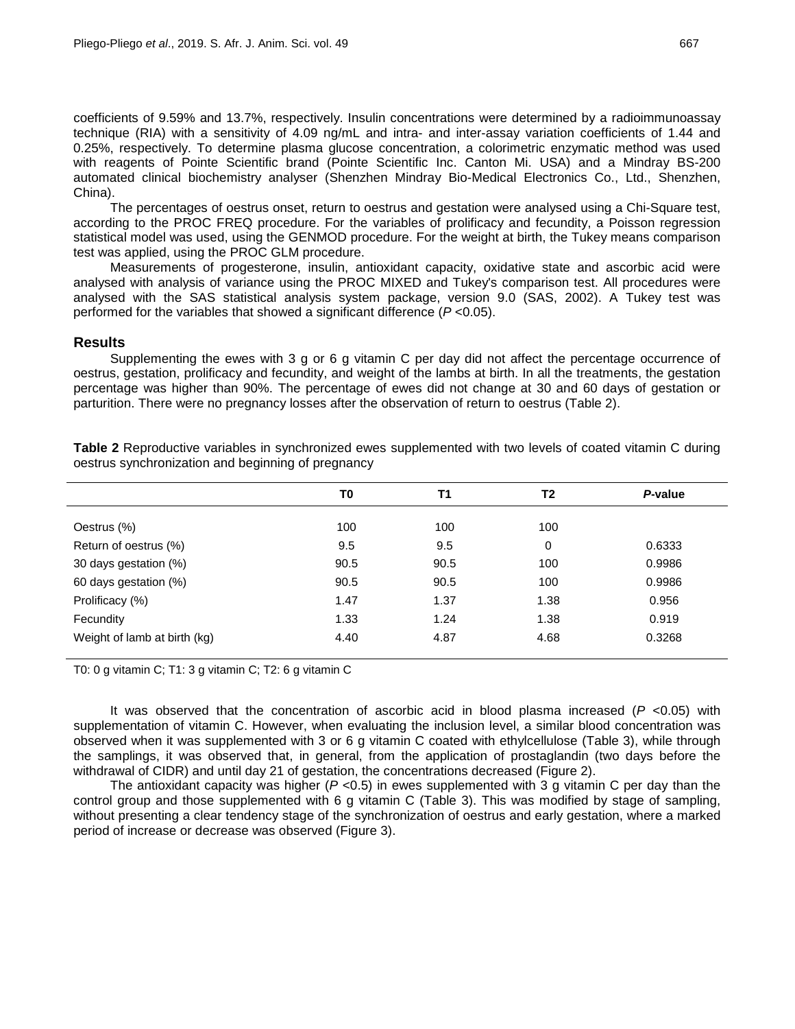coefficients of 9.59% and 13.7%, respectively. Insulin concentrations were determined by a radioimmunoassay technique (RIA) with a sensitivity of 4.09 ng/mL and intra- and inter-assay variation coefficients of 1.44 and 0.25%, respectively. To determine plasma glucose concentration, a colorimetric enzymatic method was used with reagents of Pointe Scientific brand (Pointe Scientific Inc. Canton Mi. USA) and a Mindray BS-200 automated clinical biochemistry analyser (Shenzhen Mindray Bio-Medical Electronics Co., Ltd., Shenzhen, China).

The percentages of oestrus onset, return to oestrus and gestation were analysed using a Chi-Square test, according to the PROC FREQ procedure. For the variables of prolificacy and fecundity, a Poisson regression statistical model was used, using the GENMOD procedure. For the weight at birth, the Tukey means comparison test was applied, using the PROC GLM procedure.

Measurements of progesterone, insulin, antioxidant capacity, oxidative state and ascorbic acid were analysed with analysis of variance using the PROC MIXED and Tukey's comparison test. All procedures were analysed with the SAS statistical analysis system package, version 9.0 (SAS, 2002). A Tukey test was performed for the variables that showed a significant difference (*P* <0.05).

### **Results**

Supplementing the ewes with 3 g or 6 g vitamin C per day did not affect the percentage occurrence of oestrus, gestation, prolificacy and fecundity, and weight of the lambs at birth. In all the treatments, the gestation percentage was higher than 90%. The percentage of ewes did not change at 30 and 60 days of gestation or parturition. There were no pregnancy losses after the observation of return to oestrus (Table 2).

|                              | T0   | <b>T1</b> | T2   | P-value |
|------------------------------|------|-----------|------|---------|
| Oestrus (%)                  | 100  | 100       | 100  |         |
| Return of oestrus (%)        | 9.5  | 9.5       | 0    | 0.6333  |
| 30 days gestation (%)        | 90.5 | 90.5      | 100  | 0.9986  |
| 60 days gestation (%)        | 90.5 | 90.5      | 100  | 0.9986  |
| Prolificacy (%)              | 1.47 | 1.37      | 1.38 | 0.956   |
| Fecundity                    | 1.33 | 1.24      | 1.38 | 0.919   |
| Weight of lamb at birth (kg) | 4.40 | 4.87      | 4.68 | 0.3268  |

**Table 2** Reproductive variables in synchronized ewes supplemented with two levels of coated vitamin C during oestrus synchronization and beginning of pregnancy

T0: 0 g vitamin C; T1: 3 g vitamin C; T2: 6 g vitamin C

It was observed that the concentration of ascorbic acid in blood plasma increased (*P* <0.05) with supplementation of vitamin C. However, when evaluating the inclusion level, a similar blood concentration was observed when it was supplemented with 3 or 6 g vitamin C coated with ethylcellulose (Table 3), while through the samplings, it was observed that, in general, from the application of prostaglandin (two days before the withdrawal of CIDR) and until day 21 of gestation, the concentrations decreased (Figure 2).

The antioxidant capacity was higher  $(P < 0.5)$  in ewes supplemented with 3 g vitamin C per day than the control group and those supplemented with 6 g vitamin C (Table 3). This was modified by stage of sampling, without presenting a clear tendency stage of the synchronization of oestrus and early gestation, where a marked period of increase or decrease was observed (Figure 3).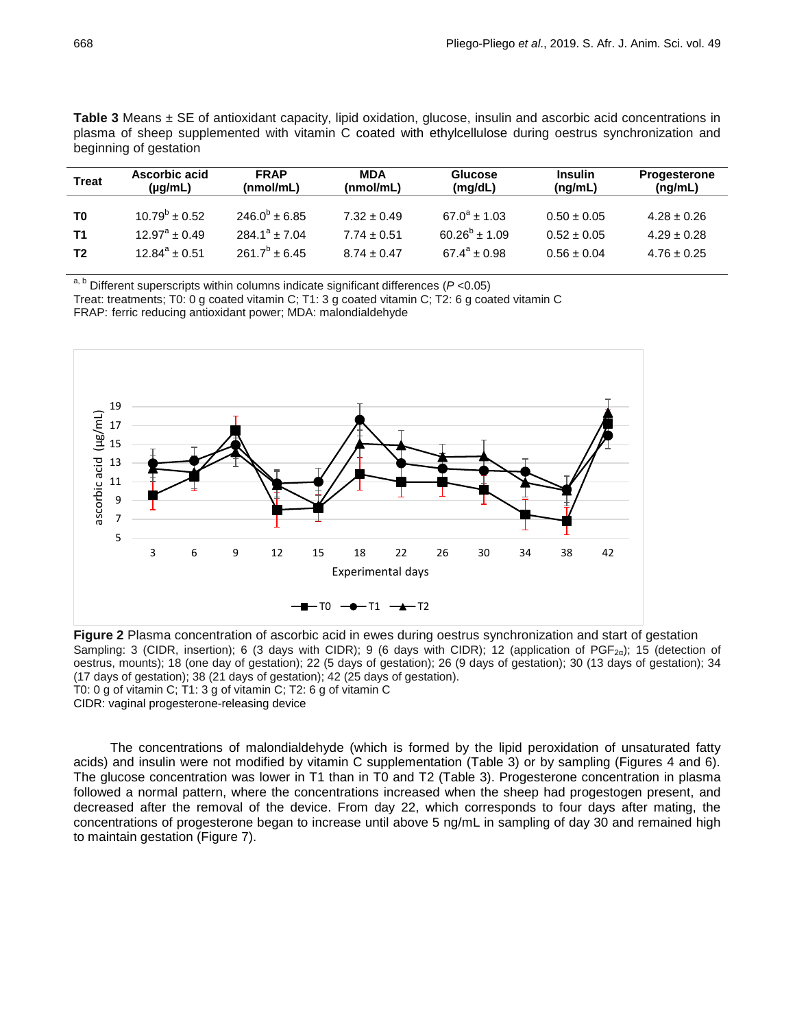**Table 3** Means ± SE of antioxidant capacity, lipid oxidation, glucose, insulin and ascorbic acid concentrations in plasma of sheep supplemented with vitamin C coated with ethylcellulose during oestrus synchronization and beginning of gestation

| <b>Treat</b>   | Ascorbic acid            | <b>FRAP</b>        | <b>MDA</b>      | <b>Glucose</b>       | <b>Insulin</b>  | <b>Progesterone</b> |
|----------------|--------------------------|--------------------|-----------------|----------------------|-----------------|---------------------|
|                | $(\mu q/mL)$             | (nmol/mL)          | (nmol/mL)       | (mg/dL)              | (ng/mL)         | (ng/mL)             |
| T <sub>0</sub> | $10.79^b \pm 0.52$       | $246.0^b \pm 6.85$ | $7.32 \pm 0.49$ | $67.0^a \pm 1.03$    | $0.50 \pm 0.05$ | $4.28 \pm 0.26$     |
| <b>T1</b>      | $12.97^{\circ} \pm 0.49$ | $284.1^a + 7.04$   | $7.74 \pm 0.51$ | $60.26^{b} \pm 1.09$ | $0.52 \pm 0.05$ | $4.29 \pm 0.28$     |
| T <sub>2</sub> | $12.84^a \pm 0.51$       | $261.7^b \pm 6.45$ | $8.74 \pm 0.47$ | $67.4^a \pm 0.98$    | $0.56 \pm 0.04$ | $4.76 \pm 0.25$     |

a, b Different superscripts within columns indicate significant differences (*P* <0.05)

Treat: treatments; T0: 0 g coated vitamin C; T1: 3 g coated vitamin C; T2: 6 g coated vitamin C FRAP: ferric reducing antioxidant power; MDA: malondialdehyde



**Figure 2** Plasma concentration of ascorbic acid in ewes during oestrus synchronization and start of gestation Sampling: 3 (CIDR, insertion); 6 (3 days with CIDR); 9 (6 days with CIDR); 12 (application of PGF<sub>2α</sub>); 15 (detection of oestrus, mounts); 18 (one day of gestation); 22 (5 days of gestation); 26 (9 days of gestation); 30 (13 days of gestation); 34 (17 days of gestation); 38 (21 days of gestation); 42 (25 days of gestation). T0: 0 g of vitamin C; T1: 3 g of vitamin C; T2: 6 g of vitamin C

CIDR: vaginal progesterone-releasing device

The concentrations of malondialdehyde (which is formed by the lipid peroxidation of unsaturated fatty acids) and insulin were not modified by vitamin C supplementation (Table 3) or by sampling (Figures 4 and 6). The glucose concentration was lower in T1 than in T0 and T2 (Table 3). Progesterone concentration in plasma followed a normal pattern, where the concentrations increased when the sheep had progestogen present, and decreased after the removal of the device. From day 22, which corresponds to four days after mating, the concentrations of progesterone began to increase until above 5 ng/mL in sampling of day 30 and remained high to maintain gestation (Figure 7).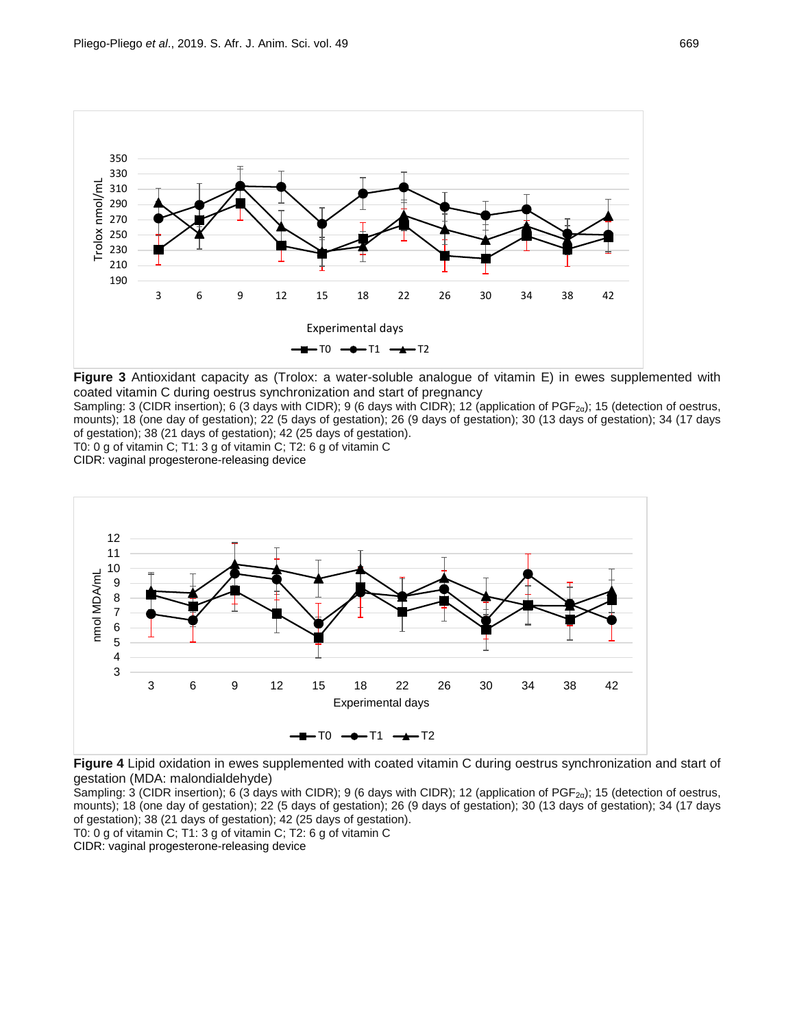

**Figure 3** Antioxidant capacity as (Trolox: a water-soluble analogue of vitamin E) in ewes supplemented with coated vitamin C during oestrus synchronization and start of pregnancy

Sampling: 3 (CIDR insertion); 6 (3 days with CIDR); 9 (6 days with CIDR); 12 (application of PGF<sub>2α</sub>); 15 (detection of oestrus, mounts); 18 (one day of gestation); 22 (5 days of gestation); 26 (9 days of gestation); 30 (13 days of gestation); 34 (17 days of gestation); 38 (21 days of gestation); 42 (25 days of gestation).

T0: 0 g of vitamin C; T1: 3 g of vitamin C; T2: 6 g of vitamin C

CIDR: vaginal progesterone-releasing device



**Figure 4** Lipid oxidation in ewes supplemented with coated vitamin C during oestrus synchronization and start of gestation (MDA: malondialdehyde)

Sampling: 3 (CIDR insertion); 6 (3 days with CIDR); 9 (6 days with CIDR); 12 (application of PGF<sub>2α</sub>); 15 (detection of oestrus, mounts); 18 (one day of gestation); 22 (5 days of gestation); 26 (9 days of gestation); 30 (13 days of gestation); 34 (17 days of gestation); 38 (21 days of gestation); 42 (25 days of gestation).

T0: 0 g of vitamin C; T1: 3 g of vitamin C; T2: 6 g of vitamin C

CIDR: vaginal progesterone-releasing device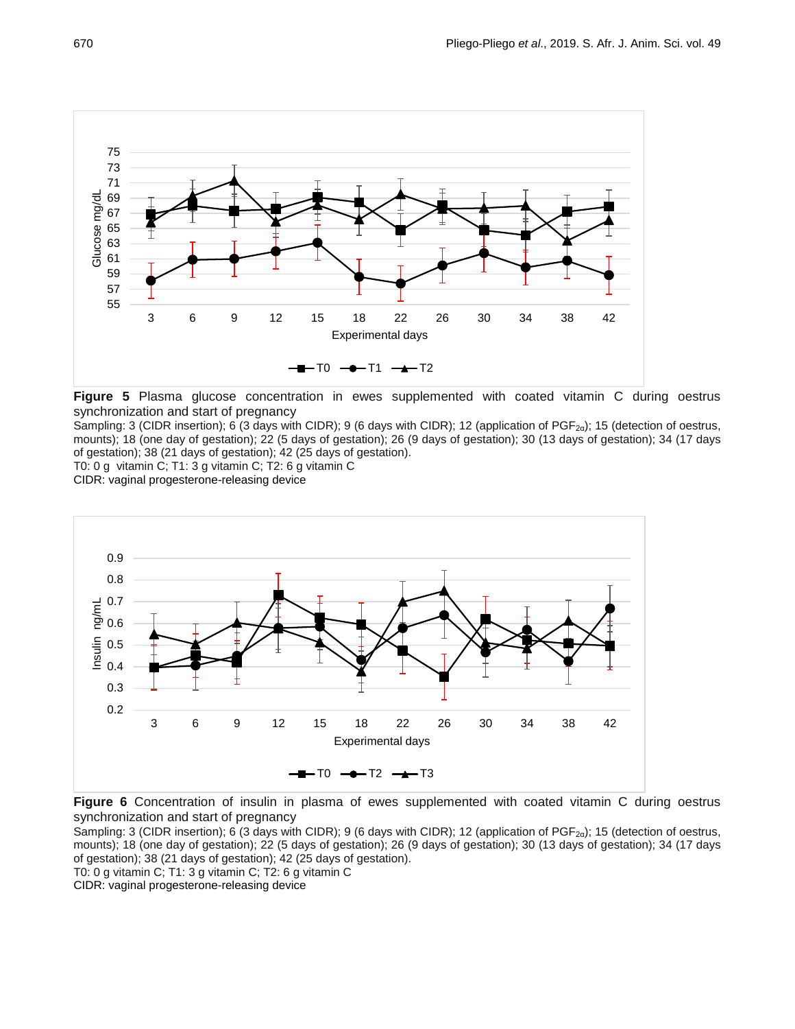

**Figure 5** Plasma glucose concentration in ewes supplemented with coated vitamin C during oestrus synchronization and start of pregnancy

Sampling: 3 (CIDR insertion); 6 (3 days with CIDR); 9 (6 days with CIDR); 12 (application of PGF<sub>2α</sub>); 15 (detection of oestrus, mounts); 18 (one day of gestation); 22 (5 days of gestation); 26 (9 days of gestation); 30 (13 days of gestation); 34 (17 days of gestation); 38 (21 days of gestation); 42 (25 days of gestation).

T0: 0 g vitamin C; T1: 3 g vitamin C; T2: 6 g vitamin C

CIDR: vaginal progesterone-releasing device



**Figure 6** Concentration of insulin in plasma of ewes supplemented with coated vitamin C during oestrus synchronization and start of pregnancy

Sampling: 3 (CIDR insertion); 6 (3 days with CIDR); 9 (6 days with CIDR); 12 (application of PGF<sub>2α</sub>); 15 (detection of oestrus, mounts); 18 (one day of gestation); 22 (5 days of gestation); 26 (9 days of gestation); 30 (13 days of gestation); 34 (17 days of gestation); 38 (21 days of gestation); 42 (25 days of gestation).

T0: 0 g vitamin C; T1: 3 g vitamin C; T2: 6 g vitamin C

CIDR: vaginal progesterone-releasing device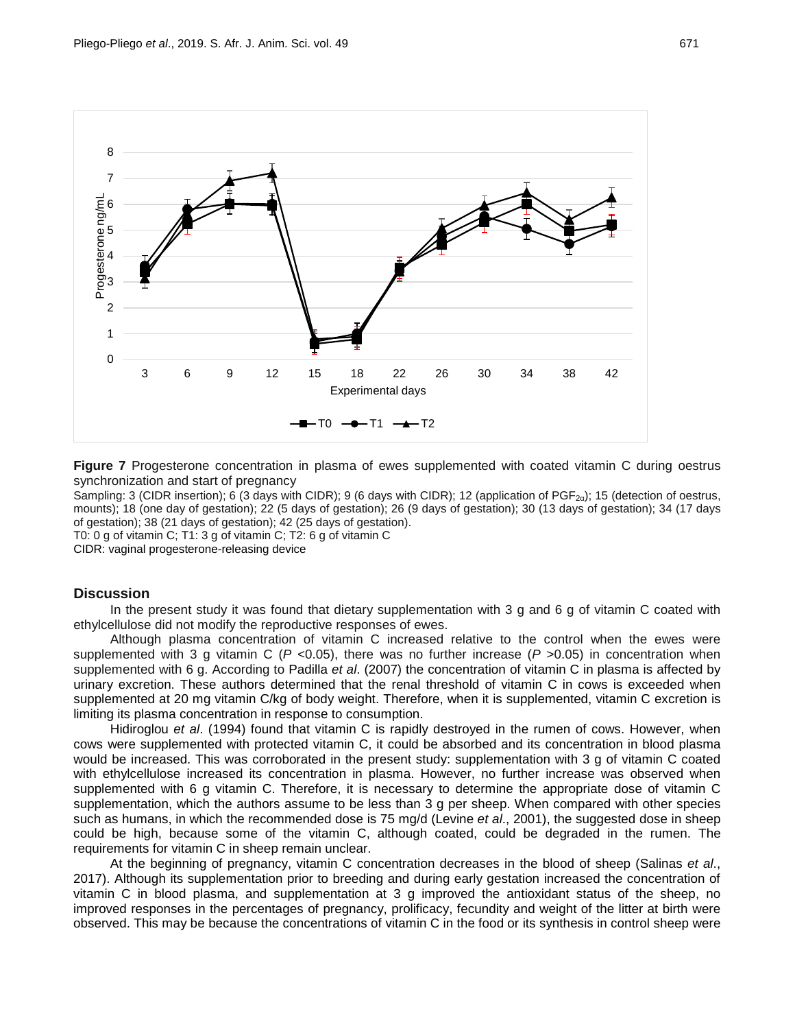

**Figure 7** Progesterone concentration in plasma of ewes supplemented with coated vitamin C during oestrus synchronization and start of pregnancy

Sampling: 3 (CIDR insertion); 6 (3 days with CIDR); 9 (6 days with CIDR); 12 (application of PGF<sub>2α</sub>); 15 (detection of oestrus, mounts); 18 (one day of gestation); 22 (5 days of gestation); 26 (9 days of gestation); 30 (13 days of gestation); 34 (17 days of gestation); 38 (21 days of gestation); 42 (25 days of gestation).

T0: 0 g of vitamin C; T1: 3 g of vitamin C; T2: 6 g of vitamin C

CIDR: vaginal progesterone-releasing device

### **Discussion**

In the present study it was found that dietary supplementation with 3 g and 6 g of vitamin C coated with ethylcellulose did not modify the reproductive responses of ewes.

Although plasma concentration of vitamin C increased relative to the control when the ewes were supplemented with 3 g vitamin C ( $P$  <0.05), there was no further increase ( $P$  >0.05) in concentration when supplemented with 6 g. According to Padilla *et al*. (2007) the concentration of vitamin C in plasma is affected by urinary excretion. These authors determined that the renal threshold of vitamin C in cows is exceeded when supplemented at 20 mg vitamin C/kg of body weight. Therefore, when it is supplemented, vitamin C excretion is limiting its plasma concentration in response to consumption.

Hidiroglou *et al*. (1994) found that vitamin C is rapidly destroyed in the rumen of cows. However, when cows were supplemented with protected vitamin C, it could be absorbed and its concentration in blood plasma would be increased. This was corroborated in the present study: supplementation with 3 g of vitamin C coated with ethylcellulose increased its concentration in plasma. However, no further increase was observed when supplemented with 6 g vitamin C. Therefore, it is necessary to determine the appropriate dose of vitamin C supplementation, which the authors assume to be less than 3 g per sheep. When compared with other species such as humans, in which the recommended dose is 75 mg/d (Levine *et al*., 2001), the suggested dose in sheep could be high, because some of the vitamin C, although coated, could be degraded in the rumen. The requirements for vitamin C in sheep remain unclear.

At the beginning of pregnancy, vitamin C concentration decreases in the blood of sheep (Salinas *et al*., 2017). Although its supplementation prior to breeding and during early gestation increased the concentration of vitamin C in blood plasma, and supplementation at 3 g improved the antioxidant status of the sheep, no improved responses in the percentages of pregnancy, prolificacy, fecundity and weight of the litter at birth were observed. This may be because the concentrations of vitamin C in the food or its synthesis in control sheep were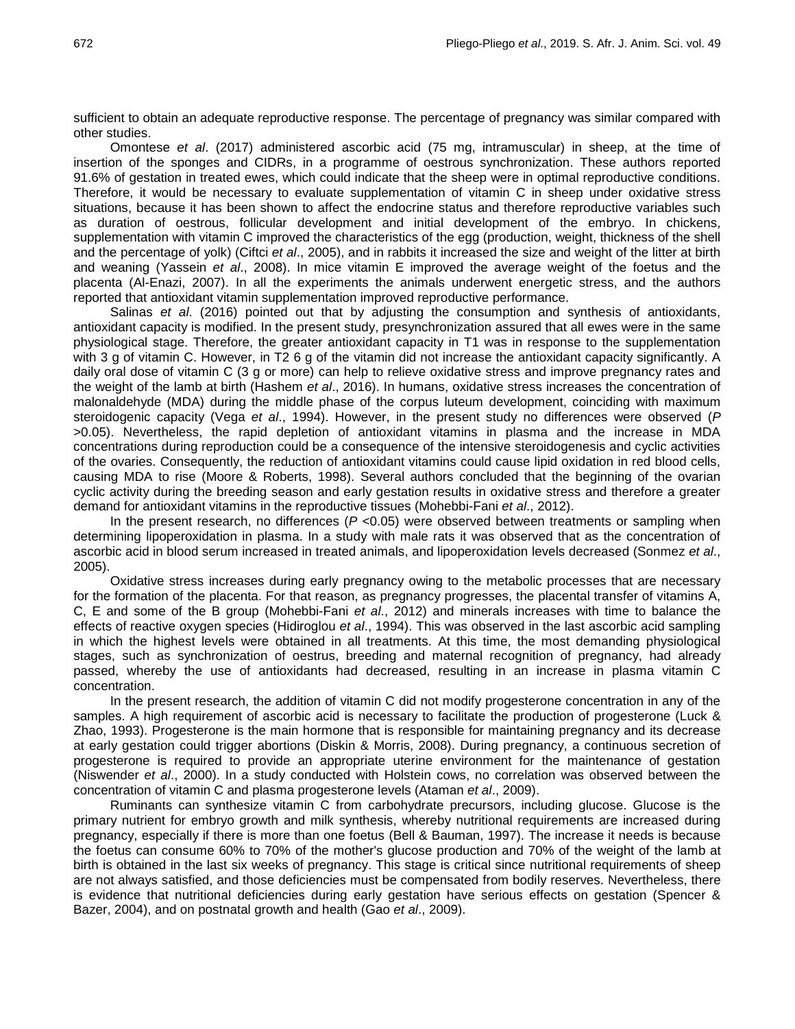sufficient to obtain an adequate reproductive response. The percentage of pregnancy was similar compared with other studies.

Omontese *et al*. (2017) administered ascorbic acid (75 mg, intramuscular) in sheep, at the time of insertion of the sponges and CIDRs, in a programme of oestrous synchronization. These authors reported 91.6% of gestation in treated ewes, which could indicate that the sheep were in optimal reproductive conditions. Therefore, it would be necessary to evaluate supplementation of vitamin C in sheep under oxidative stress situations, because it has been shown to affect the endocrine status and therefore reproductive variables such as duration of oestrous, follicular development and initial development of the embryo. In chickens, supplementation with vitamin C improved the characteristics of the egg (production, weight, thickness of the shell and the percentage of yolk) (Ciftci *et al*., 2005), and in rabbits it increased the size and weight of the litter at birth and weaning (Yassein *et al*., 2008). In mice vitamin E improved the average weight of the foetus and the placenta (Al-Enazi, 2007). In all the experiments the animals underwent energetic stress, and the authors reported that antioxidant vitamin supplementation improved reproductive performance.

Salinas *et al*. (2016) pointed out that by adjusting the consumption and synthesis of antioxidants, antioxidant capacity is modified. In the present study, presynchronization assured that all ewes were in the same physiological stage. Therefore, the greater antioxidant capacity in T1 was in response to the supplementation with 3 g of vitamin C. However, in T2 6 g of the vitamin did not increase the antioxidant capacity significantly. A daily oral dose of vitamin C (3 g or more) can help to relieve oxidative stress and improve pregnancy rates and the weight of the lamb at birth (Hashem *et al*., 2016). In humans, oxidative stress increases the concentration of malonaldehyde (MDA) during the middle phase of the corpus luteum development, coinciding with maximum steroidogenic capacity (Vega *et al*., 1994). However, in the present study no differences were observed (*P* >0.05). Nevertheless, the rapid depletion of antioxidant vitamins in plasma and the increase in MDA concentrations during reproduction could be a consequence of the intensive steroidogenesis and cyclic activities of the ovaries. Consequently, the reduction of antioxidant vitamins could cause lipid oxidation in red blood cells, causing MDA to rise (Moore & Roberts, 1998). Several authors concluded that the beginning of the ovarian cyclic activity during the breeding season and early gestation results in oxidative stress and therefore a greater demand for antioxidant vitamins in the reproductive tissues (Mohebbi-Fani *et al*., 2012).

In the present research, no differences ( $P$  <0.05) were observed between treatments or sampling when determining lipoperoxidation in plasma. In a study with male rats it was observed that as the concentration of ascorbic acid in blood serum increased in treated animals, and lipoperoxidation levels decreased (Sonmez *et al*., 2005).

Oxidative stress increases during early pregnancy owing to the metabolic processes that are necessary for the formation of the placenta. For that reason, as pregnancy progresses, the placental transfer of vitamins A, C, E and some of the B group (Mohebbi-Fani *et al*., 2012) and minerals increases with time to balance the effects of reactive oxygen species (Hidiroglou *et al*., 1994). This was observed in the last ascorbic acid sampling in which the highest levels were obtained in all treatments. At this time, the most demanding physiological stages, such as synchronization of oestrus, breeding and maternal recognition of pregnancy, had already passed, whereby the use of antioxidants had decreased, resulting in an increase in plasma vitamin C concentration.

In the present research, the addition of vitamin C did not modify progesterone concentration in any of the samples. A high requirement of ascorbic acid is necessary to facilitate the production of progesterone (Luck & Zhao, 1993). Progesterone is the main hormone that is responsible for maintaining pregnancy and its decrease at early gestation could trigger abortions (Diskin & Morris, 2008). During pregnancy, a continuous secretion of progesterone is required to provide an appropriate uterine environment for the maintenance of gestation (Niswender *et al*., 2000). In a study conducted with Holstein cows, no correlation was observed between the concentration of vitamin C and plasma progesterone levels (Ataman *et al*., 2009).

Ruminants can synthesize vitamin C from carbohydrate precursors, including glucose. Glucose is the primary nutrient for embryo growth and milk synthesis, whereby nutritional requirements are increased during pregnancy, especially if there is more than one foetus (Bell & Bauman, 1997). The increase it needs is because the foetus can consume 60% to 70% of the mother's glucose production and 70% of the weight of the lamb at birth is obtained in the last six weeks of pregnancy. This stage is critical since nutritional requirements of sheep are not always satisfied, and those deficiencies must be compensated from bodily reserves. Nevertheless, there is evidence that nutritional deficiencies during early gestation have serious effects on gestation (Spencer & Bazer, 2004), and on postnatal growth and health (Gao *et al*., 2009).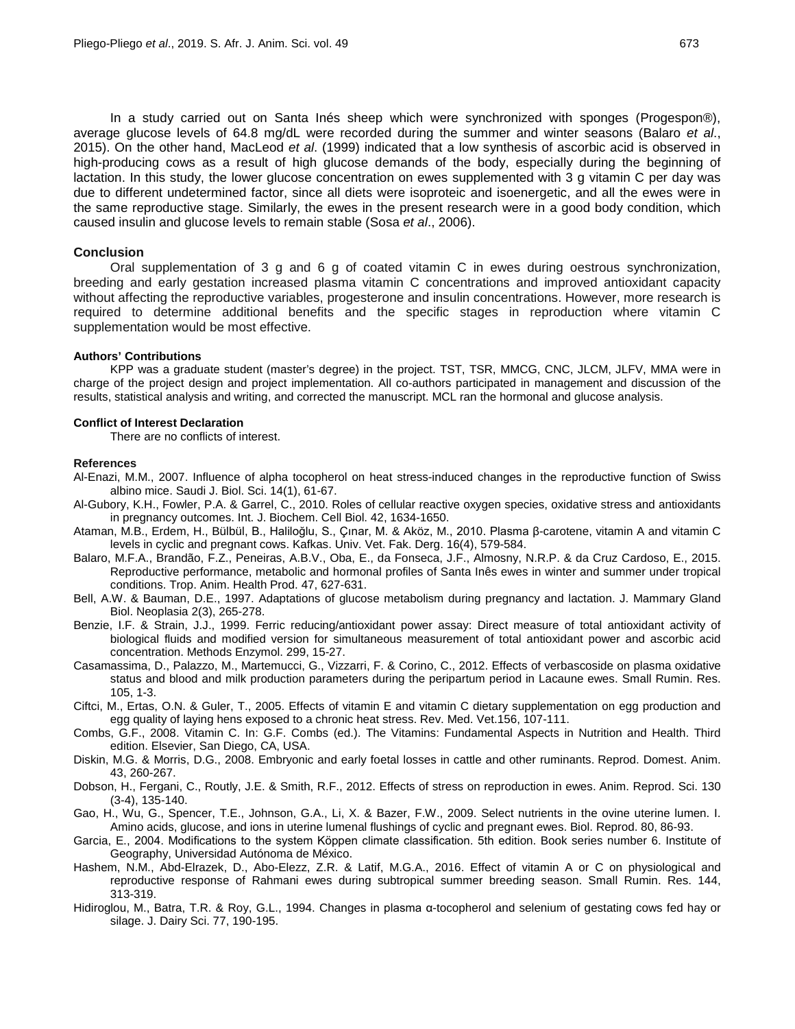In a study carried out on Santa Inés sheep which were synchronized with sponges (Progespon®), average glucose levels of 64.8 mg/dL were recorded during the summer and winter seasons (Balaro *et al*., 2015). On the other hand, MacLeod *et al*. (1999) indicated that a low synthesis of ascorbic acid is observed in high-producing cows as a result of high glucose demands of the body, especially during the beginning of lactation. In this study, the lower glucose concentration on ewes supplemented with 3 g vitamin C per day was due to different undetermined factor, since all diets were isoproteic and isoenergetic, and all the ewes were in the same reproductive stage. Similarly, the ewes in the present research were in a good body condition, which caused insulin and glucose levels to remain stable (Sosa *et al*., 2006).

### **Conclusion**

Oral supplementation of 3 g and 6 g of coated vitamin C in ewes during oestrous synchronization, breeding and early gestation increased plasma vitamin C concentrations and improved antioxidant capacity without affecting the reproductive variables, progesterone and insulin concentrations. However, more research is required to determine additional benefits and the specific stages in reproduction where vitamin C supplementation would be most effective.

#### **Authors' Contributions**

KPP was a graduate student (master's degree) in the project. TST, TSR, MMCG, CNC, JLCM, JLFV, MMA were in charge of the project design and project implementation. All co-authors participated in management and discussion of the results, statistical analysis and writing, and corrected the manuscript. MCL ran the hormonal and glucose analysis.

### **Conflict of Interest Declaration**

There are no conflicts of interest.

#### **References**

- Al-Enazi, M.M., 2007. Influence of alpha tocopherol on heat stress-induced changes in the reproductive function of Swiss albino mice. Saudi J. Biol. Sci. 14(1), 61-67.
- Al-Gubory, K.H., Fowler, P.A. & Garrel, C., 2010. Roles of cellular reactive oxygen species, oxidative stress and antioxidants in pregnancy outcomes. Int. J. Biochem. Cell Biol. 42, 1634-1650.
- Ataman, M.B., Erdem, H., Bülbül, B., Haliloğlu, S., Çınar, M. & Aköz, M., 2010. Plasma β-carotene, vitamin A and vitamin C levels in cyclic and pregnant cows. Kafkas. Univ. Vet. Fak. Derg. 16(4), 579-584.
- Balaro, M.F.A., Brandão, F.Z., Peneiras, A.B.V., Oba, E., da Fonseca, J.F., Almosny, N.R.P. & da Cruz Cardoso, E., 2015. Reproductive performance, metabolic and hormonal profiles of Santa Inês ewes in winter and summer under tropical conditions. Trop. Anim. Health Prod. 47, 627-631.
- Bell, A.W. & Bauman, D.E., 1997. Adaptations of glucose metabolism during pregnancy and lactation. J. Mammary Gland Biol. Neoplasia 2(3), 265-278.
- Benzie, I.F. & Strain, J.J., 1999. Ferric reducing/antioxidant power assay: Direct measure of total antioxidant activity of biological fluids and modified version for simultaneous measurement of total antioxidant power and ascorbic acid concentration. Methods Enzymol. 299, 15-27.
- Casamassima, D., Palazzo, M., Martemucci, G., Vizzarri, F. & Corino, C., 2012. Effects of verbascoside on plasma oxidative status and blood and milk production parameters during the peripartum period in Lacaune ewes. Small Rumin. Res. 105, 1-3.
- Ciftci, M., Ertas, O.N. & Guler, T., 2005. Effects of vitamin E and vitamin C dietary supplementation on egg production and egg quality of laying hens exposed to a chronic heat stress. Rev. Med. Vet.156, 107-111.
- Combs, G.F., 2008. Vitamin C. In: G.F. Combs (ed.). The Vitamins: Fundamental Aspects in Nutrition and Health. Third edition. Elsevier, San Diego, CA, USA.
- Diskin, M.G. & Morris, D.G., 2008. Embryonic and early foetal losses in cattle and other ruminants. Reprod. Domest. Anim. 43, 260-267.
- Dobson, H., Fergani, C., Routly, J.E. & Smith, R.F., 2012. Effects of stress on reproduction in ewes. Anim. Reprod. Sci. 130 (3-4), 135-140.
- Gao, H., Wu, G., Spencer, T.E., Johnson, G.A., Li, X. & Bazer, F.W., 2009. Select nutrients in the ovine uterine lumen. I. Amino acids, glucose, and ions in uterine lumenal flushings of cyclic and pregnant ewes. Biol. Reprod. 80, 86-93.
- Garcia, E., 2004. Modifications to the system Kӧppen climate classification. 5th edition. Book series number 6. Institute of Geography, Universidad Autónoma de México.
- Hashem, N.M., Abd-Elrazek, D., Abo-Elezz, Z.R. & Latif, M.G.A., 2016. Effect of vitamin A or C on physiological and reproductive response of Rahmani ewes during subtropical summer breeding season. Small Rumin. Res. 144, 313-319.
- Hidiroglou, M., Batra, T.R. & Roy, G.L., 1994. Changes in plasma α-tocopherol and selenium of gestating cows fed hay or silage. J. Dairy Sci. 77, 190-195.